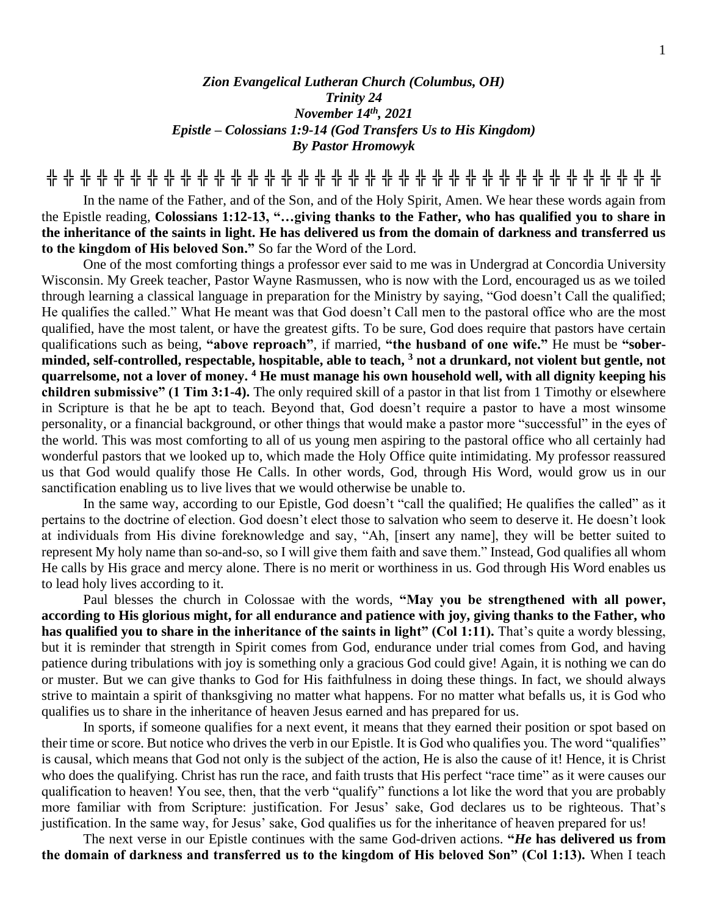## *Zion Evangelical Lutheran Church (Columbus, OH) Trinity 24 November 14th, 2021 Epistle – Colossians 1:9-14 (God Transfers Us to His Kingdom) By Pastor Hromowyk*

**╬ ╬ ╬ ╬ ╬ ╬ ╬ ╬ ╬ ╬ ╬ ╬ ╬ ╬ ╬ ╬ ╬ ╬ ╬ ╬ ╬ ╬ ╬ ╬ ╬ ╬ ╬ ╬ ╬ ╬ ╬ ╬ ╬ ╬ ╬ ╬ ╬**

In the name of the Father, and of the Son, and of the Holy Spirit, Amen. We hear these words again from the Epistle reading, **Colossians 1:12-13, "…giving thanks to the Father, who has qualified you to share in the inheritance of the saints in light. He has delivered us from the domain of darkness and transferred us to the kingdom of His beloved Son."** So far the Word of the Lord.

One of the most comforting things a professor ever said to me was in Undergrad at Concordia University Wisconsin. My Greek teacher, Pastor Wayne Rasmussen, who is now with the Lord, encouraged us as we toiled through learning a classical language in preparation for the Ministry by saying, "God doesn't Call the qualified; He qualifies the called." What He meant was that God doesn't Call men to the pastoral office who are the most qualified, have the most talent, or have the greatest gifts. To be sure, God does require that pastors have certain qualifications such as being, **"above reproach"**, if married, **"the husband of one wife."** He must be **"soberminded, self-controlled, respectable, hospitable, able to teach, <sup>3</sup> not a drunkard, not violent but gentle, not quarrelsome, not a lover of money. <sup>4</sup> He must manage his own household well, with all dignity keeping his children submissive" (1 Tim 3:1-4).** The only required skill of a pastor in that list from 1 Timothy or elsewhere in Scripture is that he be apt to teach. Beyond that, God doesn't require a pastor to have a most winsome personality, or a financial background, or other things that would make a pastor more "successful" in the eyes of the world. This was most comforting to all of us young men aspiring to the pastoral office who all certainly had wonderful pastors that we looked up to, which made the Holy Office quite intimidating. My professor reassured us that God would qualify those He Calls. In other words, God, through His Word, would grow us in our sanctification enabling us to live lives that we would otherwise be unable to.

In the same way, according to our Epistle, God doesn't "call the qualified; He qualifies the called" as it pertains to the doctrine of election. God doesn't elect those to salvation who seem to deserve it. He doesn't look at individuals from His divine foreknowledge and say, "Ah, [insert any name], they will be better suited to represent My holy name than so-and-so, so I will give them faith and save them." Instead, God qualifies all whom He calls by His grace and mercy alone. There is no merit or worthiness in us. God through His Word enables us to lead holy lives according to it.

Paul blesses the church in Colossae with the words, **"May you be strengthened with all power, according to His glorious might, for all endurance and patience with joy, giving thanks to the Father, who**  has qualified you to share in the inheritance of the saints in light" (Col 1:11). That's quite a wordy blessing, but it is reminder that strength in Spirit comes from God, endurance under trial comes from God, and having patience during tribulations with joy is something only a gracious God could give! Again, it is nothing we can do or muster. But we can give thanks to God for His faithfulness in doing these things. In fact, we should always strive to maintain a spirit of thanksgiving no matter what happens. For no matter what befalls us, it is God who qualifies us to share in the inheritance of heaven Jesus earned and has prepared for us.

In sports, if someone qualifies for a next event, it means that they earned their position or spot based on their time or score. But notice who drives the verb in our Epistle. It is God who qualifies you. The word "qualifies" is causal, which means that God not only is the subject of the action, He is also the cause of it! Hence, it is Christ who does the qualifying. Christ has run the race, and faith trusts that His perfect "race time" as it were causes our qualification to heaven! You see, then, that the verb "qualify" functions a lot like the word that you are probably more familiar with from Scripture: justification. For Jesus' sake, God declares us to be righteous. That's justification. In the same way, for Jesus' sake, God qualifies us for the inheritance of heaven prepared for us!

The next verse in our Epistle continues with the same God-driven actions. **"***He* **has delivered us from the domain of darkness and transferred us to the kingdom of His beloved Son" (Col 1:13).** When I teach